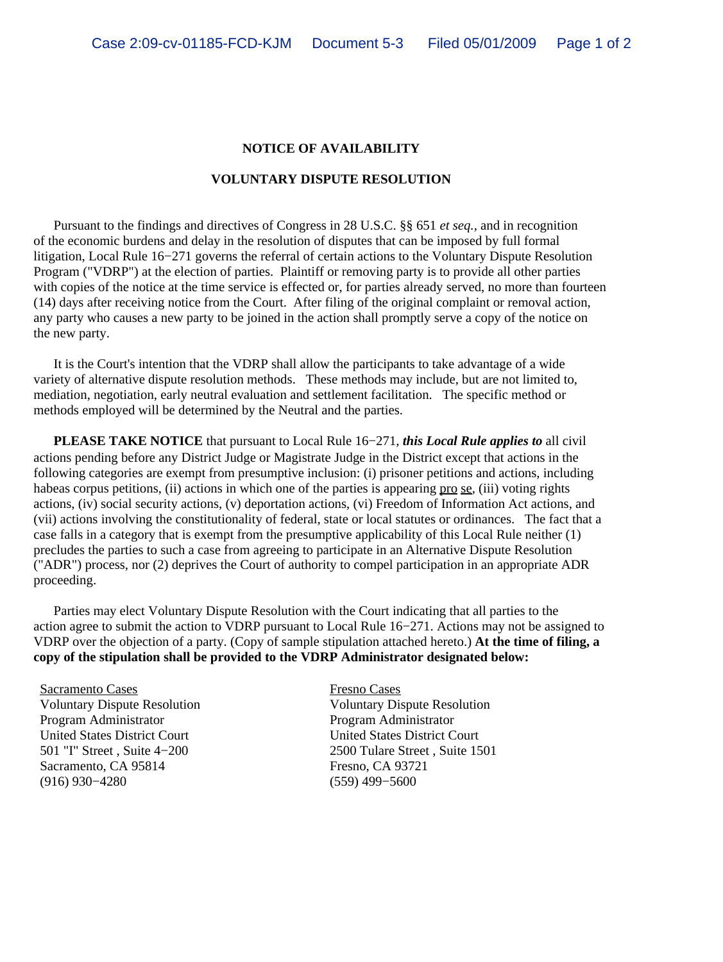## **NOTICE OF AVAILABILITY**

## **VOLUNTARY DISPUTE RESOLUTION**

 Pursuant to the findings and directives of Congress in 28 U.S.C. §§ 651 *et seq.,* and in recognition of the economic burdens and delay in the resolution of disputes that can be imposed by full formal litigation, Local Rule 16−271 governs the referral of certain actions to the Voluntary Dispute Resolution Program ("VDRP") at the election of parties. Plaintiff or removing party is to provide all other parties with copies of the notice at the time service is effected or, for parties already served, no more than fourteen (14) days after receiving notice from the Court. After filing of the original complaint or removal action, any party who causes a new party to be joined in the action shall promptly serve a copy of the notice on the new party.

 It is the Court's intention that the VDRP shall allow the participants to take advantage of a wide variety of alternative dispute resolution methods. These methods may include, but are not limited to, mediation, negotiation, early neutral evaluation and settlement facilitation. The specific method or methods employed will be determined by the Neutral and the parties.

 **PLEASE TAKE NOTICE** that pursuant to Local Rule 16−271, *this Local Rule applies to* all civil actions pending before any District Judge or Magistrate Judge in the District except that actions in the following categories are exempt from presumptive inclusion: (i) prisoner petitions and actions, including habeas corpus petitions, (ii) actions in which one of the parties is appearing pro se, (iii) voting rights actions, (iv) social security actions, (v) deportation actions, (vi) Freedom of Information Act actions, and (vii) actions involving the constitutionality of federal, state or local statutes or ordinances. The fact that a case falls in a category that is exempt from the presumptive applicability of this Local Rule neither (1) precludes the parties to such a case from agreeing to participate in an Alternative Dispute Resolution ("ADR") process, nor (2) deprives the Court of authority to compel participation in an appropriate ADR proceeding.

 Parties may elect Voluntary Dispute Resolution with the Court indicating that all parties to the action agree to submit the action to VDRP pursuant to Local Rule 16−271. Actions may not be assigned to VDRP over the objection of a party. (Copy of sample stipulation attached hereto.) **At the time of filing, a copy of the stipulation shall be provided to the VDRP Administrator designated below:**

Sacramento Cases Fresno Cases Program Administrator Program Administrator United States District Court United States District Court Sacramento, CA 95814 Fresno, CA 93721 (916) 930−4280 (559) 499−5600

Voluntary Dispute Resolution Voluntary Dispute Resolution 501 "I" Street , Suite 4−200 2500 Tulare Street , Suite 1501